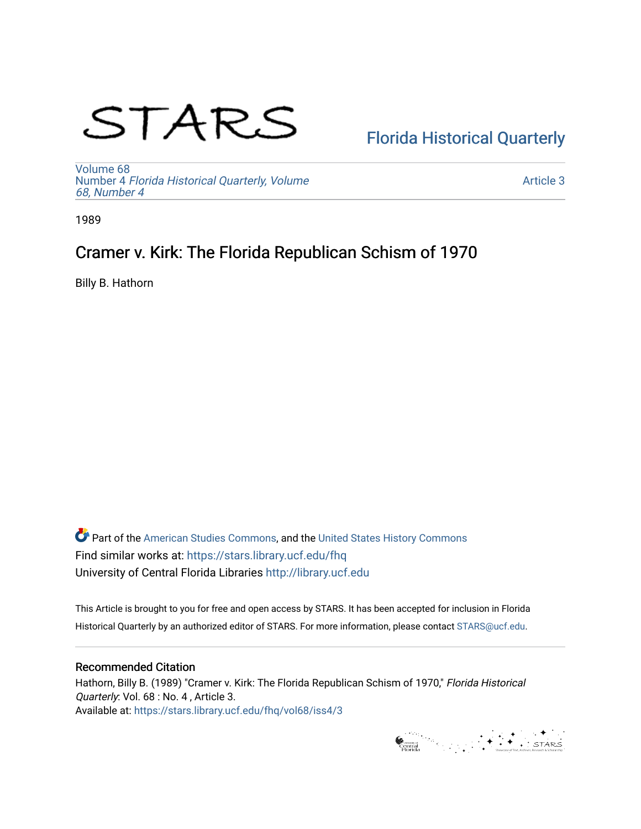# STARS

# [Florida Historical Quarterly](https://stars.library.ucf.edu/fhq)

[Volume 68](https://stars.library.ucf.edu/fhq/vol68) Number 4 [Florida Historical Quarterly, Volume](https://stars.library.ucf.edu/fhq/vol68/iss4)  [68, Number 4](https://stars.library.ucf.edu/fhq/vol68/iss4)

[Article 3](https://stars.library.ucf.edu/fhq/vol68/iss4/3) 

1989

# Cramer v. Kirk: The Florida Republican Schism of 1970

Billy B. Hathorn

**C** Part of the [American Studies Commons](http://network.bepress.com/hgg/discipline/439?utm_source=stars.library.ucf.edu%2Ffhq%2Fvol68%2Fiss4%2F3&utm_medium=PDF&utm_campaign=PDFCoverPages), and the United States History Commons Find similar works at: <https://stars.library.ucf.edu/fhq> University of Central Florida Libraries [http://library.ucf.edu](http://library.ucf.edu/) 

This Article is brought to you for free and open access by STARS. It has been accepted for inclusion in Florida Historical Quarterly by an authorized editor of STARS. For more information, please contact [STARS@ucf.edu.](mailto:STARS@ucf.edu)

# Recommended Citation

Hathorn, Billy B. (1989) "Cramer v. Kirk: The Florida Republican Schism of 1970," Florida Historical Quarterly: Vol. 68 : No. 4 , Article 3. Available at: [https://stars.library.ucf.edu/fhq/vol68/iss4/3](https://stars.library.ucf.edu/fhq/vol68/iss4/3?utm_source=stars.library.ucf.edu%2Ffhq%2Fvol68%2Fiss4%2F3&utm_medium=PDF&utm_campaign=PDFCoverPages) 

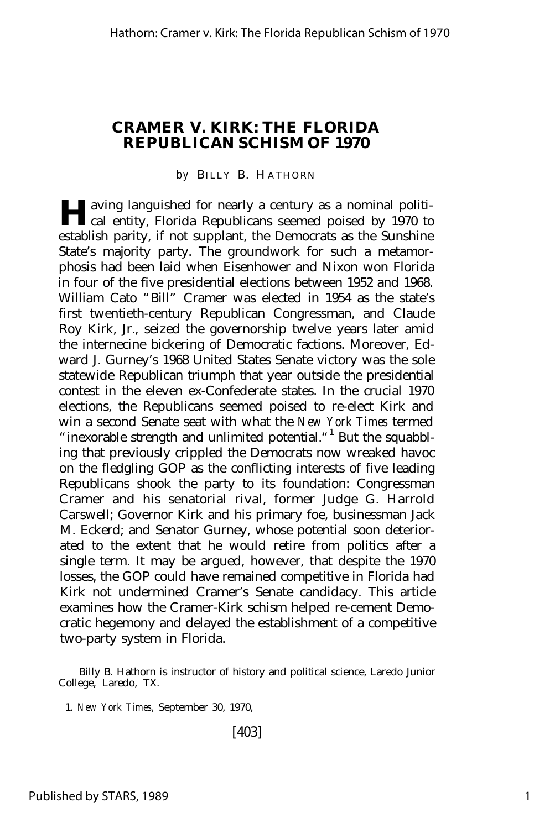# **CRAMER V. KIRK: THE FLORIDA REPUBLICAN SCHISM OF 1970**

#### by BILLY B. HATHORN

**H** aving languished for nearly a century as a nominal political entity, Florida Republicans seemed poised by 1970 to cal entity, Florida Republicans seemed poised by 1970 to establish parity, if not supplant, the Democrats as the Sunshine State's majority party. The groundwork for such a metamorphosis had been laid when Eisenhower and Nixon won Florida in four of the five presidential elections between 1952 and 1968. William Cato "Bill" Cramer was elected in 1954 as the state's first twentieth-century Republican Congressman, and Claude Roy Kirk, Jr., seized the governorship twelve years later amid the internecine bickering of Democratic factions. Moreover, Edward J. Gurney's 1968 United States Senate victory was the sole statewide Republican triumph that year outside the presidential contest in the eleven ex-Confederate states. In the crucial 1970 elections, the Republicans seemed poised to re-elect Kirk and win a second Senate seat with what the *New York Times* termed "inexorable strength and unlimited potential."<sup>1</sup> But the squabbling that previously crippled the Democrats now wreaked havoc on the fledgling GOP as the conflicting interests of five leading Republicans shook the party to its foundation: Congressman Cramer and his senatorial rival, former Judge G. Harrold Carswell; Governor Kirk and his primary foe, businessman Jack M. Eckerd; and Senator Gurney, whose potential soon deteriorated to the extent that he would retire from politics after a single term. It may be argued, however, that despite the 1970 losses, the GOP could have remained competitive in Florida had Kirk not undermined Cramer's Senate candidacy. This article examines how the Cramer-Kirk schism helped re-cement Democratic hegemony and delayed the establishment of a competitive two-party system in Florida.

Billy B. Hathorn is instructor of history and political science, Laredo Junior College, Laredo, TX.

<sup>1.</sup> *New York Times,* September 30, 1970,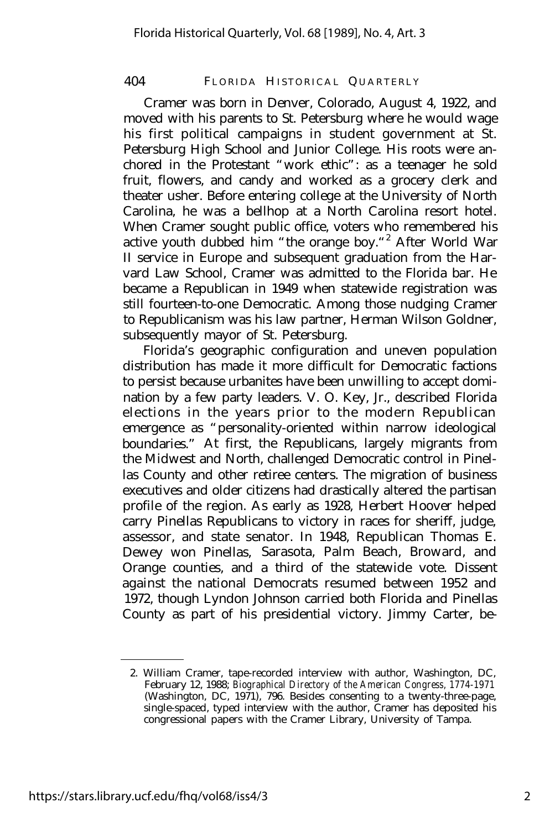Cramer was born in Denver, Colorado, August 4, 1922, and moved with his parents to St. Petersburg where he would wage his first political campaigns in student government at St. Petersburg High School and Junior College. His roots were anchored in the Protestant "work ethic": as a teenager he sold fruit, flowers, and candy and worked as a grocery clerk and theater usher. Before entering college at the University of North Carolina, he was a bellhop at a North Carolina resort hotel. When Cramer sought public office, voters who remembered his active youth dubbed him "the orange boy."<sup>2</sup> After World War II service in Europe and subsequent graduation from the Harvard Law School, Cramer was admitted to the Florida bar. He became a Republican in 1949 when statewide registration was still fourteen-to-one Democratic. Among those nudging Cramer to Republicanism was his law partner, Herman Wilson Goldner, subsequently mayor of St. Petersburg.

Florida's geographic configuration and uneven population distribution has made it more difficult for Democratic factions to persist because urbanites have been unwilling to accept domination by a few party leaders. V. O. Key, Jr., described Florida elections in the years prior to the modern Republican emergence as "personality-oriented within narrow ideological boundaries." At first, the Republicans, largely migrants from the Midwest and North, challenged Democratic control in Pinellas County and other retiree centers. The migration of business executives and older citizens had drastically altered the partisan profile of the region. As early as 1928, Herbert Hoover helped carry Pinellas Republicans to victory in races for sheriff, judge, assessor, and state senator. In 1948, Republican Thomas E. Dewey won Pinellas, Sarasota, Palm Beach, Broward, and Orange counties, and a third of the statewide vote. Dissent against the national Democrats resumed between 1952 and 1972, though Lyndon Johnson carried both Florida and Pinellas County as part of his presidential victory. Jimmy Carter, be-

<sup>2.</sup> William Cramer, tape-recorded interview with author, Washington, DC, February 12, 1988; *Biographical Directory of the American Congress, 1774-1971* (Washington, DC, 1971), 796. Besides consenting to a twenty-three-page, single-spaced, typed interview with the author, Cramer has deposited his congressional papers with the Cramer Library, University of Tampa.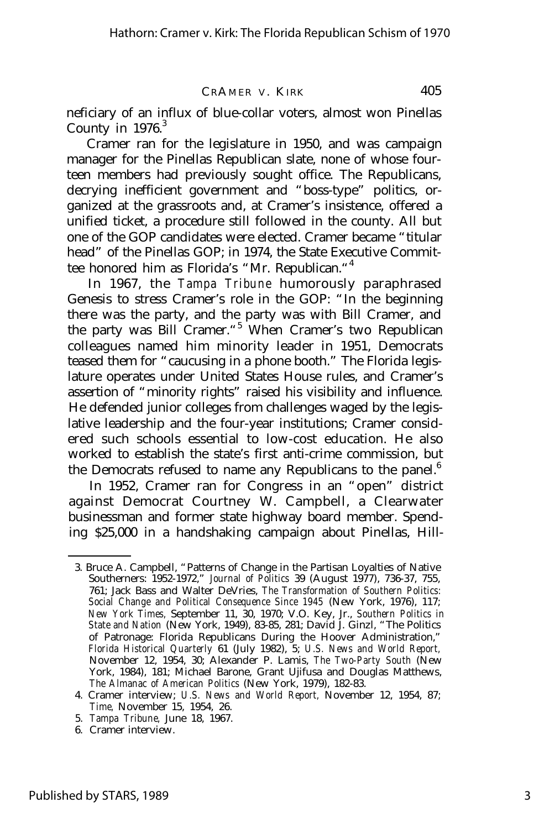neficiary of an influx of blue-collar voters, almost won Pinellas County in  $1976$ .<sup>3</sup>

Cramer ran for the legislature in 1950, and was campaign manager for the Pinellas Republican slate, none of whose fourteen members had previously sought office. The Republicans, decrying inefficient government and "boss-type" politics, organized at the grassroots and, at Cramer's insistence, offered a unified ticket, a procedure still followed in the county. All but one of the GOP candidates were elected. Cramer became "titular head" of the Pinellas GOP; in 1974, the State Executive Committee honored him as Florida's "Mr. Republican."<sup>4</sup>

In 1967, the *Tampa Tribune* humorously paraphrased Genesis to stress Cramer's role in the GOP: "In the beginning there was the party, and the party was with Bill Cramer, and the party was Bill Cramer.<sup>45</sup> When Cramer's two Republican colleagues named him minority leader in 1951, Democrats teased them for "caucusing in a phone booth." The Florida legislature operates under United States House rules, and Cramer's assertion of "minority rights" raised his visibility and influence. He defended junior colleges from challenges waged by the legislative leadership and the four-year institutions; Cramer considered such schools essential to low-cost education. He also worked to establish the state's first anti-crime commission, but the Democrats refused to name any Republicans to the panel. $<sup>6</sup>$ </sup>

In 1952, Cramer ran for Congress in an "open" district against Democrat Courtney W. Campbell, a Clearwater businessman and former state highway board member. Spending \$25,000 in a handshaking campaign about Pinellas, Hill-

<sup>3.</sup> Bruce A. Campbell, "Patterns of Change in the Partisan Loyalties of Native Southerners: 1952-1972," *Journal of Politics* 39 (August 1977), 736-37, 755, 761; Jack Bass and Walter DeVries, *The Transformation of Southern Politics: Social Change and Political Consequence Since 1945* (New York, 1976), 117; *New York Times,* September 11, 30, 1970; V.O. Key, Jr., *Southern Politics in State and Nation* (New York, 1949), 83-85, 281; David J. Ginzl, "The Politics of Patronage: Florida Republicans During the Hoover Administration," *Florida Historical Quarterly* 61 (July 1982), 5; *U.S. News and World Report,* November 12, 1954, 30; Alexander P. Lamis, *The Two-Party South* (New York, 1984), 181; Michael Barone, Grant Ujifusa and Douglas Matthews, *The Almanac of American Politics* (New York, 1979), 182-83.

<sup>4.</sup> Cramer interview; *U.S. News and World Report,* November 12, 1954, 87; *Time,* November 15, 1954, 26.

<sup>5.</sup> *Tampa Tribune,* June 18, 1967.

<sup>6.</sup> Cramer interview.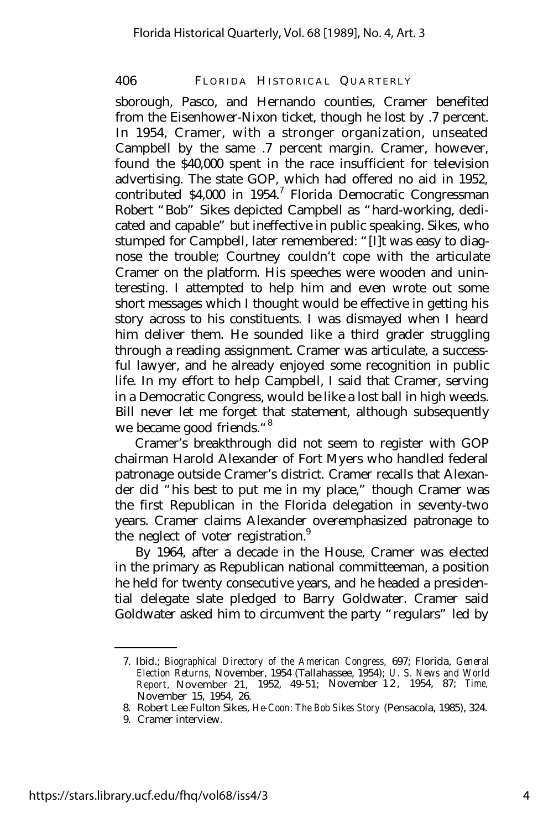sborough, Pasco, and Hernando counties, Cramer benefited from the Eisenhower-Nixon ticket, though he lost by .7 percent. In 1954, Cramer, with a stronger organization, unseated Campbell by the same .7 percent margin. Cramer, however, found the \$40,000 spent in the race insufficient for television advertising. The state GOP, which had offered no aid in 1952, contributed \$4,000 in 1954.<sup>7</sup> Florida Democratic Congressman Robert "Bob" Sikes depicted Campbell as "hard-working, dedicated and capable" but ineffective in public speaking. Sikes, who stumped for Campbell, later remembered: "[I]t was easy to diagnose the trouble; Courtney couldn't cope with the articulate Cramer on the platform. His speeches were wooden and uninteresting. I attempted to help him and even wrote out some short messages which I thought would be effective in getting his story across to his constituents. I was dismayed when I heard him deliver them. He sounded like a third grader struggling through a reading assignment. Cramer was articulate, a successful lawyer, and he already enjoyed some recognition in public life. In my effort to help Campbell, I said that Cramer, serving in a Democratic Congress, would be like a lost ball in high weeds. Bill never let me forget that statement, although subsequently we became good friends."<sup>8</sup>

Cramer's breakthrough did not seem to register with GOP chairman Harold Alexander of Fort Myers who handled federal patronage outside Cramer's district. Cramer recalls that Alexander did "his best to put me in my place," though Cramer was the first Republican in the Florida delegation in seventy-two years. Cramer claims Alexander overemphasized patronage to the neglect of voter registration. $9$ 

By 1964, after a decade in the House, Cramer was elected in the primary as Republican national committeeman, a position he held for twenty consecutive years, and he headed a presidential delegate slate pledged to Barry Goldwater. Cramer said Goldwater asked him to circumvent the party "regulars" led by

<sup>7.</sup> Ibid.; *Biographical Directory of the American Congress,* 697; Florida, *General Election Returns,* November, 1954 (Tallahassee, 1954); *U. S. News and World Report,* November 21, 1952, 49-51; November 1 2 , 1954, 87; *Time,* November 15, 1954, 26.

<sup>8.</sup> Robert Lee Fulton Sikes, *He-Coon: The Bob Sikes Story* (Pensacola, 1985), 324.

<sup>9.</sup> Cramer interview.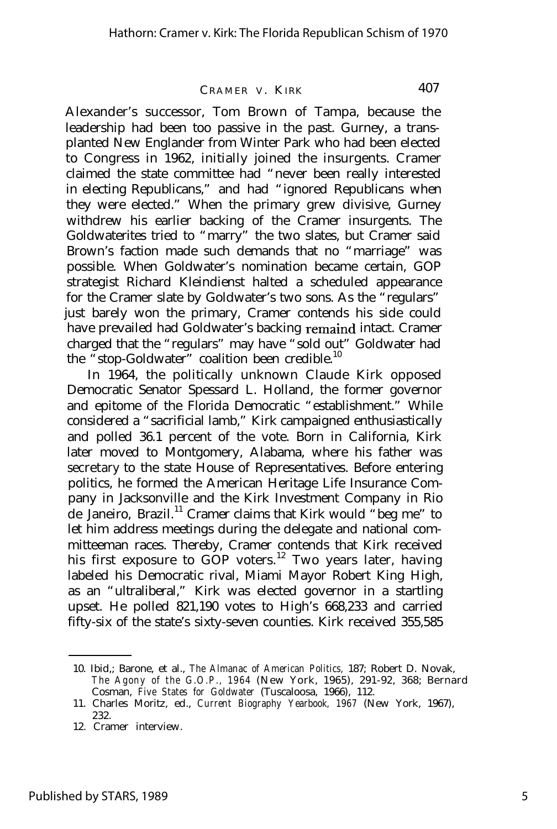Alexander's successor, Tom Brown of Tampa, because the leadership had been too passive in the past. Gurney, a transplanted New Englander from Winter Park who had been elected to Congress in 1962, initially joined the insurgents. Cramer claimed the state committee had "never been really interested in electing Republicans," and had "ignored Republicans when they were elected." When the primary grew divisive, Gurney withdrew his earlier backing of the Cramer insurgents. The Goldwaterites tried to "marry" the two slates, but Cramer said Brown's faction made such demands that no "marriage" was possible. When Goldwater's nomination became certain, GOP strategist Richard Kleindienst halted a scheduled appearance for the Cramer slate by Goldwater's two sons. As the "regulars" just barely won the primary, Cramer contends his side could have prevailed had Goldwater's backing remaind intact. Cramer charged that the "regulars" may have "sold out" Goldwater had the "stop-Goldwater" coalition been credible.<sup>10</sup>

In 1964, the politically unknown Claude Kirk opposed Democratic Senator Spessard L. Holland, the former governor and epitome of the Florida Democratic "establishment." While considered a "sacrificial lamb," Kirk campaigned enthusiastically and polled 36.1 percent of the vote. Born in California, Kirk later moved to Montgomery, Alabama, where his father was secretary to the state House of Representatives. Before entering politics, he formed the American Heritage Life Insurance Company in Jacksonville and the Kirk Investment Company in Rio de Janeiro, Brazil.<sup>11</sup> Cramer claims that Kirk would "beg me" to let him address meetings during the delegate and national committeeman races. Thereby, Cramer contends that Kirk received his first exposure to  $GOP$  voters.<sup>12</sup> Two years later, having labeled his Democratic rival, Miami Mayor Robert King High, as an "ultraliberal," Kirk was elected governor in a startling upset. He polled 821,190 votes to High's 668,233 and carried fifty-six of the state's sixty-seven counties. Kirk received 355,585

<sup>10.</sup> Ibid,; Barone, et al., *The Almanac of American Politics,* 187; Robert D. Novak, *The Agony of the G.O.P., 1964* (New York, 1965), 291-92, 368; Bernard Cosman, *Five States for Goldwater* (Tuscaloosa, 1966), 112.

<sup>11.</sup> Charles Moritz, ed., *Current Biography Yearbook, 1967* (New York, 1967), 232.

<sup>12.</sup> Cramer interview.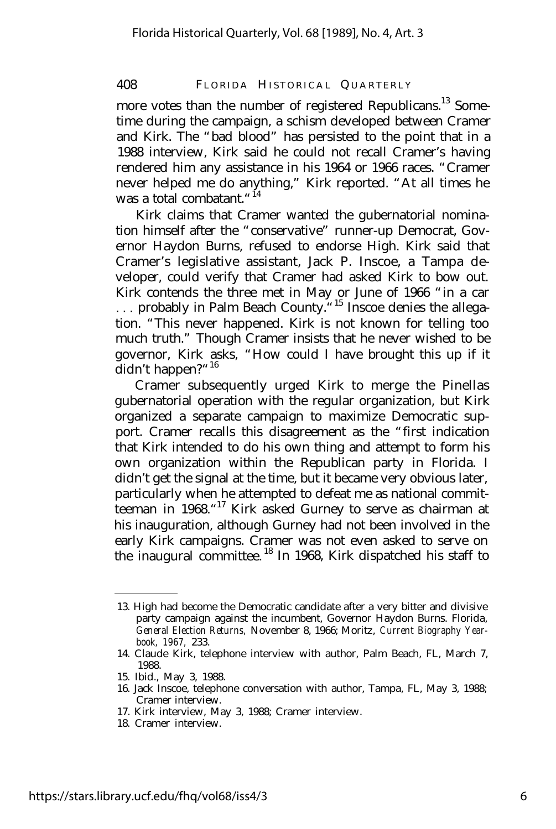more votes than the number of registered Republicans.<sup>13</sup> Sometime during the campaign, a schism developed between Cramer and Kirk. The "bad blood" has persisted to the point that in a 1988 interview, Kirk said he could not recall Cramer's having rendered him any assistance in his 1964 or 1966 races. "Cramer never helped me do anything," Kirk reported. "At all times he was a total combatant."<sup>14</sup>

Kirk claims that Cramer wanted the gubernatorial nomination himself after the "conservative" runner-up Democrat, Governor Haydon Burns, refused to endorse High. Kirk said that Cramer's legislative assistant, Jack P. Inscoe, a Tampa developer, could verify that Cramer had asked Kirk to bow out. Kirk contends the three met in May or June of 1966 "in a car ... probably in Palm Beach County."<sup>15</sup> Inscoe denies the allegation. "This never happened. Kirk is not known for telling too much truth." Though Cramer insists that he never wished to be governor, Kirk asks, "How could I have brought this up if it didn't happen?"<sup>16</sup>

Cramer subsequently urged Kirk to merge the Pinellas gubernatorial operation with the regular organization, but Kirk organized a separate campaign to maximize Democratic support. Cramer recalls this disagreement as the "first indication that Kirk intended to do his own thing and attempt to form his own organization within the Republican party in Florida. I didn't get the signal at the time, but it became very obvious later, particularly when he attempted to defeat me as national committeeman in 1968."<sup>17</sup> Kirk asked Gurney to serve as chairman at his inauguration, although Gurney had not been involved in the early Kirk campaigns. Cramer was not even asked to serve on the inaugural committee. <sup>18</sup> In 1968, Kirk dispatched his staff to

18. Cramer interview.

<sup>13.</sup> High had become the Democratic candidate after a very bitter and divisive party campaign against the incumbent, Governor Haydon Burns. Florida, *General Election Returns,* November 8, 1966; Moritz, *Current Biography Yearbook, 1967,* 233.

<sup>14.</sup> Claude Kirk, telephone interview with author, Palm Beach, FL, March 7, 1988.

<sup>15.</sup> Ibid., May 3, 1988.

<sup>16.</sup> Jack Inscoe, telephone conversation with author, Tampa, FL, May 3, 1988; Cramer interview.

<sup>17.</sup> Kirk interview, May 3, 1988; Cramer interview.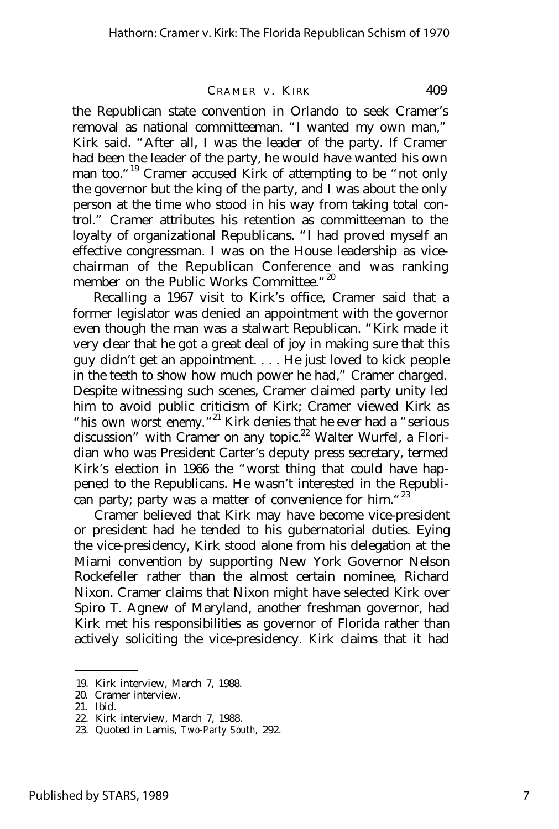the Republican state convention in Orlando to seek Cramer's removal as national committeeman. "I wanted my own man," Kirk said. "After all, I was the leader of the party. If Cramer had been the leader of the party, he would have wanted his own man too."<sup>19</sup> Cramer accused Kirk of attempting to be "not only the governor but the king of the party, and I was about the only person at the time who stood in his way from taking total control." Cramer attributes his retention as committeeman to the loyalty of organizational Republicans. "I had proved myself an effective congressman. I was on the House leadership as vicechairman of the Republican Conference and was ranking member on the Public Works Committee."<sup>20</sup>

Recalling a 1967 visit to Kirk's office, Cramer said that a former legislator was denied an appointment with the governor even though the man was a stalwart Republican. "Kirk made it very clear that he got a great deal of joy in making sure that this guy didn't get an appointment. . . . He just loved to kick people in the teeth to show how much power he had," Cramer charged. Despite witnessing such scenes, Cramer claimed party unity led him to avoid public criticism of Kirk; Cramer viewed Kirk as "his own worst enemy. "<sup>21</sup> Kirk denies that he ever had a "serious discussion" with Cramer on any topic.<sup>22</sup> Walter Wurfel, a Floridian who was President Carter's deputy press secretary, termed Kirk's election in 1966 the "worst thing that could have happened to the Republicans. He wasn't interested in the Republican party; party was a matter of convenience for him."<sup>23</sup>

Cramer believed that Kirk may have become vice-president or president had he tended to his gubernatorial duties. Eying the vice-presidency, Kirk stood alone from his delegation at the Miami convention by supporting New York Governor Nelson Rockefeller rather than the almost certain nominee, Richard Nixon. Cramer claims that Nixon might have selected Kirk over Spiro T. Agnew of Maryland, another freshman governor, had Kirk met his responsibilities as governor of Florida rather than actively soliciting the vice-presidency. Kirk claims that it had

<sup>19.</sup> Kirk interview, March 7, 1988.

<sup>20.</sup> Cramer interview.

<sup>21.</sup> Ibid.

<sup>22.</sup> Kirk interview, March 7, 1988.

<sup>23.</sup> Quoted in Lamis, *Two-Party South,* 292.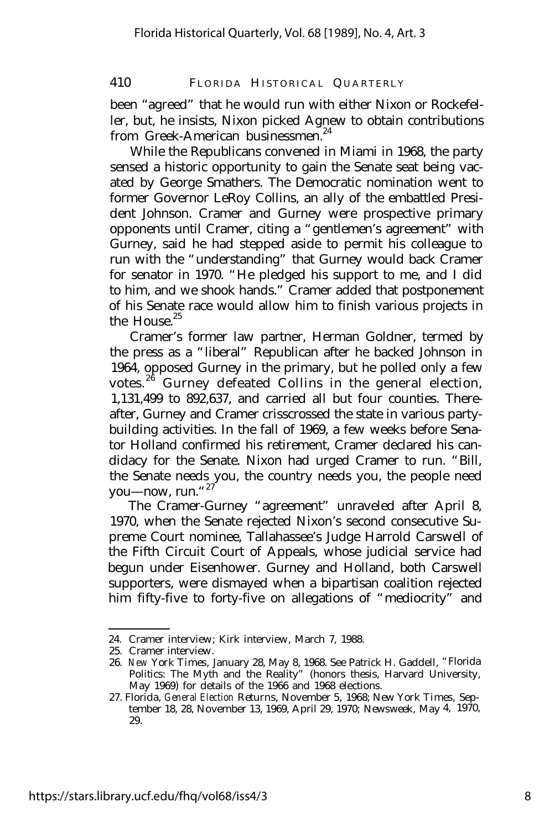been "agreed" that he would run with either Nixon or Rockefeller, but, he insists, Nixon picked Agnew to obtain contributions from Greek-American businessmen.<sup>24</sup>

While the Republicans convened in Miami in 1968, the party sensed a historic opportunity to gain the Senate seat being vacated by George Smathers. The Democratic nomination went to former Governor LeRoy Collins, an ally of the embattled President Johnson. Cramer and Gurney were prospective primary opponents until Cramer, citing a "gentlemen's agreement" with Gurney, said he had stepped aside to permit his colleague to run with the "understanding" that Gurney would back Cramer for senator in 1970. "He pledged his support to me, and I did to him, and we shook hands." Cramer added that postponement of his Senate race would allow him to finish various projects in the House.<sup>25</sup>

Cramer's former law partner, Herman Goldner, termed by the press as a "liberal" Republican after he backed Johnson in 1964, opposed Gurney in the primary, but he polled only a few votes.<sup>26</sup> Gurney defeated Collins in the general election, 1,131,499 to 892,637, and carried all but four counties. Thereafter, Gurney and Cramer crisscrossed the state in various partybuilding activities. In the fall of 1969, a few weeks before Senator Holland confirmed his retirement, Cramer declared his candidacy for the Senate. Nixon had urged Cramer to run. "Bill, the Senate needs you, the country needs you, the people need you— now, run." $27$ 

The Cramer-Gurney "agreement" unraveled after April 8, 1970, when the Senate rejected Nixon's second consecutive Supreme Court nominee, Tallahassee's Judge Harrold Carswell of the Fifth Circuit Court of Appeals, whose judicial service had begun under Eisenhower. Gurney and Holland, both Carswell supporters, were dismayed when a bipartisan coalition rejected him fifty-five to forty-five on allegations of "mediocrity" and

<sup>24.</sup> Cramer interview; Kirk interview, March 7, 1988.

<sup>25.</sup> Cramer interview.

<sup>26.</sup> *New York Times,* January 28, May 8, 1968. See Patrick H. Gaddell, "Florida Politics: The Myth and the Reality" (honors thesis, Harvard University, May 1969) for details of the 1966 and 1968 elections.

<sup>27.</sup> Florida, *General Election Returns,* November *5,* 1968; *New York Times,* September 18, 28, November 13, 1969, April 29, 1970; *Newsweek,* May 4, 1970, 29.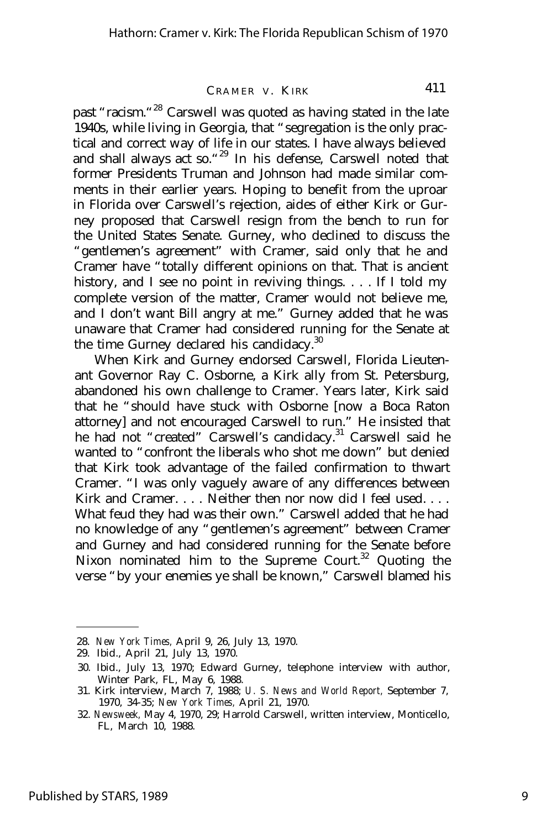past "racism."<sup>28</sup> Carswell was quoted as having stated in the late 1940s, while living in Georgia, that "segregation is the only practical and correct way of life in our states. I have always believed and shall always act so."<sup>29</sup> In his defense, Carswell noted that former Presidents Truman and Johnson had made similar comments in their earlier years. Hoping to benefit from the uproar in Florida over Carswell's rejection, aides of either Kirk or Gurney proposed that Carswell resign from the bench to run for the United States Senate. Gurney, who declined to discuss the "gentlemen's agreement" with Cramer, said only that he and Cramer have "totally different opinions on that. That is ancient history, and I see no point in reviving things. . . . If I told my complete version of the matter, Cramer would not believe me, and I don't want Bill angry at me." Gurney added that he was unaware that Cramer had considered running for the Senate at the time Gurney declared his candidacy.<sup>30</sup>

When Kirk and Gurney endorsed Carswell, Florida Lieutenant Governor Ray C. Osborne, a Kirk ally from St. Petersburg, abandoned his own challenge to Cramer. Years later, Kirk said that he "should have stuck with Osborne [now a Boca Raton attorney] and not encouraged Carswell to run." He insisted that he had not "created" Carswell's candidacy.<sup>31</sup> Carswell said he wanted to "confront the liberals who shot me down" but denied that Kirk took advantage of the failed confirmation to thwart Cramer. "I was only vaguely aware of any differences between Kirk and Cramer. . . . Neither then nor now did I feel used. . . . What feud they had was their own." Carswell added that he had no knowledge of any "gentlemen's agreement" between Cramer and Gurney and had considered running for the Senate before Nixon nominated him to the Supreme Court.<sup>32</sup> Quoting the verse "by your enemies ye shall be known," Carswell blamed his

<sup>28.</sup> *New York Times,* April 9, 26, July 13, 1970.

<sup>29.</sup> Ibid., April 21, July 13, 1970.

<sup>30.</sup> Ibid., July 13, 1970; Edward Gurney, telephone interview with author, Winter Park, FL, May 6, 1988.

<sup>31.</sup> Kirk interview, March 7, 1988; *U. S. News and World Report,* September 7, 1970, 34-35; *New York Times,* April 21, 1970.

<sup>32.</sup> *Newsweek,* May 4, 1970, 29; Harrold Carswell, written interview, Monticello, FL, March 10, 1988.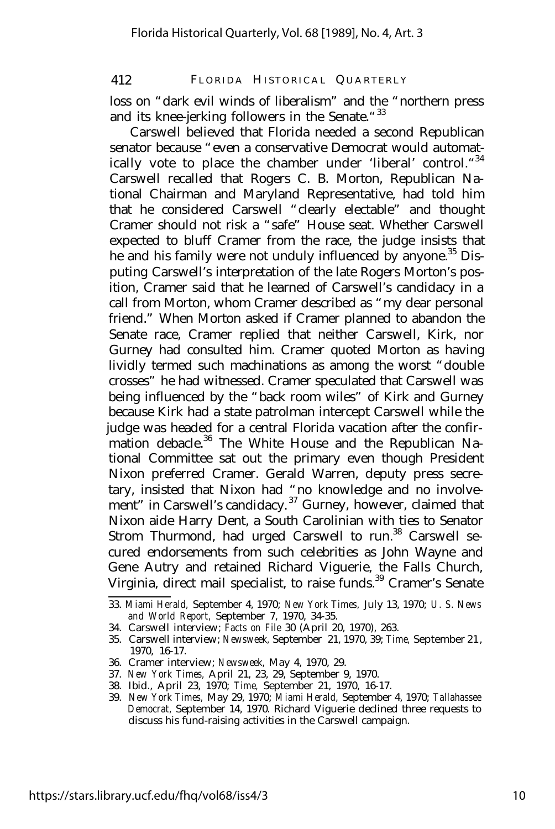loss on "dark evil winds of liberalism" and the "northern press and its knee-jerking followers in the Senate."<sup>33</sup>

Carswell believed that Florida needed a second Republican senator because "even a conservative Democrat would automatically vote to place the chamber under 'liberal' control."<sup>34</sup> Carswell recalled that Rogers C. B. Morton, Republican National Chairman and Maryland Representative, had told him that he considered Carswell "clearly electable" and thought Cramer should not risk a "safe" House seat. Whether Carswell expected to bluff Cramer from the race, the judge insists that he and his family were not unduly influenced by anyone.<sup>35</sup> Disputing Carswell's interpretation of the late Rogers Morton's position, Cramer said that he learned of Carswell's candidacy in a call from Morton, whom Cramer described as "my dear personal friend." When Morton asked if Cramer planned to abandon the Senate race, Cramer replied that neither Carswell, Kirk, nor Gurney had consulted him. Cramer quoted Morton as having lividly termed such machinations as among the worst "double crosses" he had witnessed. Cramer speculated that Carswell was being influenced by the "back room wiles" of Kirk and Gurney because Kirk had a state patrolman intercept Carswell while the judge was headed for a central Florida vacation after the confirmation debacle.<sup>36</sup> The White House and the Republican National Committee sat out the primary even though President Nixon preferred Cramer. Gerald Warren, deputy press secretary, insisted that Nixon had "no knowledge and no involvement" in Carswell's candidacy.<sup>37</sup> Gurney, however, claimed that Nixon aide Harry Dent, a South Carolinian with ties to Senator Strom Thurmond, had urged Carswell to run.<sup>38</sup> Carswell secured endorsements from such celebrities as John Wayne and Gene Autry and retained Richard Viguerie, the Falls Church, Virginia, direct mail specialist, to raise funds.<sup>39</sup> Cramer's Senate

- 34. Carswell interview; *Facts on File* 30 (April 20, 1970), 263.
- 35. Carswell interview; *Newsweek,* September 21, 1970, 39; *Time,* September 21 , 1970, 16-17.
- 36. Cramer interview; *Newsweek,* May 4, 1970, 29.
- 37. *New York Times,* April 21, 23, 29, September 9, 1970.
- 38. Ibid., April 23, 1970; *Time,* September 21, 1970, 16-17.

<sup>33.</sup> *Miami Herald,* September 4, 1970; *New York Times,* July 13, 1970; *U. S. News and World Report,* September 7, 1970, 34-35.

<sup>39.</sup> *New York Times,* May 29, 1970; *Miami Herald,* September 4, 1970; *Tallahassee Democrat,* September 14, 1970. Richard Viguerie declined three requests to discuss his fund-raising activities in the Carswell campaign.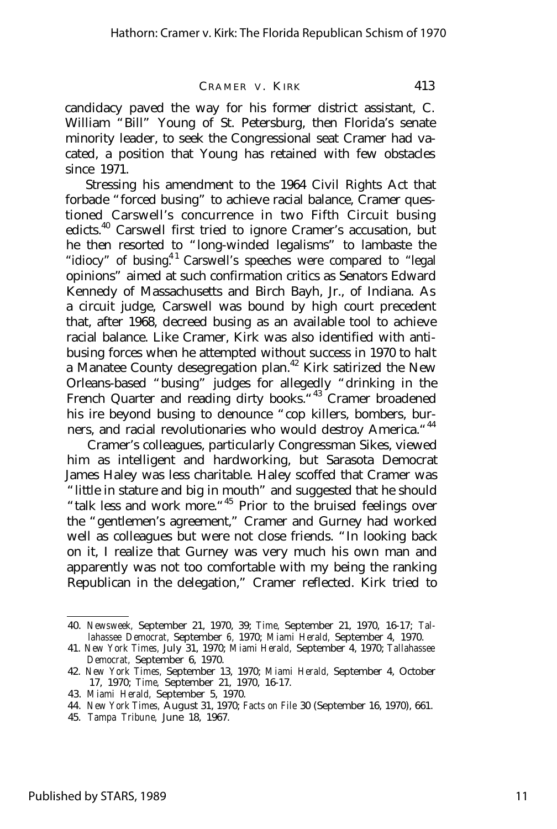candidacy paved the way for his former district assistant, C. William "Bill" Young of St. Petersburg, then Florida's senate minority leader, to seek the Congressional seat Cramer had vacated, a position that Young has retained with few obstacles since 1971.

Stressing his amendment to the 1964 Civil Rights Act that forbade "forced busing" to achieve racial balance, Cramer questioned Carswell's concurrence in two Fifth Circuit busing edicts.<sup>40</sup> Carswell first tried to ignore Cramer's accusation, but he then resorted to "long-winded legalisms" to lambaste the "idiocy" of busing.<sup>41</sup> Carswell's speeches were compared to "legal" opinions" aimed at such confirmation critics as Senators Edward Kennedy of Massachusetts and Birch Bayh, Jr., of Indiana. As a circuit judge, Carswell was bound by high court precedent that, after 1968, decreed busing as an available tool to achieve racial balance. Like Cramer, Kirk was also identified with antibusing forces when he attempted without success in 1970 to halt a Manatee County desegregation plan.<sup>42</sup> Kirk satirized the New Orleans-based "busing" judges for allegedly "drinking in the French Quarter and reading dirty books.<sup>"43</sup> Cramer broadened his ire beyond busing to denounce "cop killers, bombers, burners, and racial revolutionaries who would destroy America.<sup>"44</sup>

Cramer's colleagues, particularly Congressman Sikes, viewed him as intelligent and hardworking, but Sarasota Democrat James Haley was less charitable. Haley scoffed that Cramer was "little in stature and big in mouth" and suggested that he should "talk less and work more."<sup>45</sup> Prior to the bruised feelings over the "gentlemen's agreement," Cramer and Gurney had worked well as colleagues but were not close friends. "In looking back on it, I realize that Gurney was very much his own man and apparently was not too comfortable with my being the ranking Republican in the delegation," Cramer reflected. Kirk tried to

<sup>40.</sup> *Newsweek,* September 21, 1970, 39; *Time,* September 21, 1970, 16-17; *Tallahassee Democrat,* September *6,* 1970; *Miami Herald,* September 4, 1970.

<sup>41.</sup> *New York Times,* July 31, 1970; *Miami Herald,* September 4, 1970; *Tallahassee Democrat,* September 6, 1970.

<sup>42.</sup> *New York Times,* September 13, 1970; *Miami Herald,* September 4, October 17, 1970; *Time,* September 21, 1970, 16-17.

<sup>43.</sup> *Miami Herald,* September 5, 1970.

<sup>44.</sup> *New York Times,* August 31, 1970; *Facts on File* 30 (September 16, 1970), 661.

<sup>45.</sup> *Tampa Tribune,* June 18, 1967.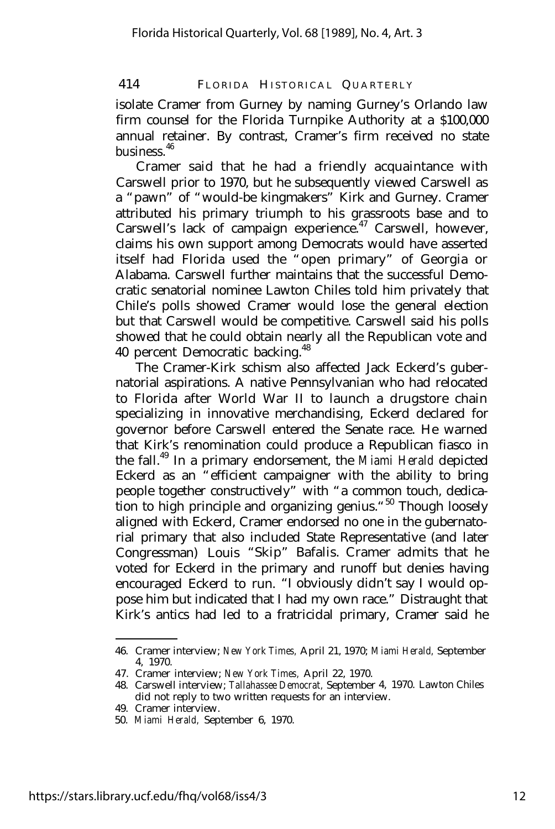isolate Cramer from Gurney by naming Gurney's Orlando law firm counsel for the Florida Turnpike Authority at a \$100,000 annual retainer. By contrast, Cramer's firm received no state business<sup>46</sup>

Cramer said that he had a friendly acquaintance with Carswell prior to 1970, but he subsequently viewed Carswell as a "pawn" of "would-be kingmakers" Kirk and Gurney. Cramer attributed his primary triumph to his grassroots base and to Carswell's lack of campaign experience.<sup>47</sup> Carswell, however, claims his own support among Democrats would have asserted itself had Florida used the "open primary" of Georgia or Alabama. Carswell further maintains that the successful Democratic senatorial nominee Lawton Chiles told him privately that Chile's polls showed Cramer would lose the general election but that Carswell would be competitive. Carswell said his polls showed that he could obtain nearly all the Republican vote and 40 percent Democratic backing.<sup>48</sup>

The Cramer-Kirk schism also affected Jack Eckerd's gubernatorial aspirations. A native Pennsylvanian who had relocated to Florida after World War II to launch a drugstore chain specializing in innovative merchandising, Eckerd declared for governor before Carswell entered the Senate race. He warned that Kirk's renomination could produce a Republican fiasco in the fall.<sup>49</sup> In a primary endorsement, the *Miami Herald* depicted Eckerd as an "efficient campaigner with the ability to bring people together constructively" with "a common touch, dedication to high principle and organizing genius."<sup>50</sup> Though loosely aligned with Eckerd, Cramer endorsed no one in the gubernatorial primary that also included State Representative (and later Congressman) Louis "Skip" Bafalis. Cramer admits that he voted for Eckerd in the primary and runoff but denies having encouraged Eckerd to run. "I obviously didn't say I would oppose him but indicated that I had my own race." Distraught that Kirk's antics had led to a fratricidal primary, Cramer said he

<sup>46.</sup> Cramer interview; *New York Times,* April 21, 1970; *Miami Herald,* September 4, 1970.

<sup>47.</sup> Cramer interview; *New York Times,* April 22, 1970.

<sup>48.</sup> Carswell interview; *Tallahassee Democrat,* September 4, 1970. Lawton Chiles did not reply to two written requests for an interview.

<sup>49.</sup> Cramer interview.

<sup>50.</sup> *Miami Herald,* September 6, 1970.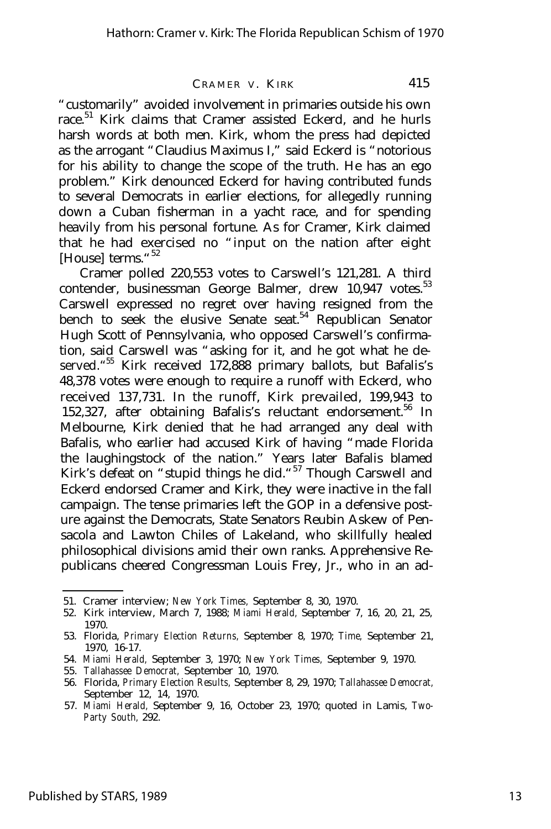"customarily" avoided involvement in primaries outside his own race.<sup>51</sup> Kirk claims that Cramer assisted Eckerd, and he hurls harsh words at both men. Kirk, whom the press had depicted as the arrogant "Claudius Maximus I," said Eckerd is "notorious for his ability to change the scope of the truth. He has an ego problem." Kirk denounced Eckerd for having contributed funds to several Democrats in earlier elections, for allegedly running down a Cuban fisherman in a yacht race, and for spending heavily from his personal fortune. As for Cramer, Kirk claimed that he had exercised no "input on the nation after eight [House] terms."<sup>52</sup>

Cramer polled 220,553 votes to Carswell's 121,281. A third contender, businessman George Balmer, drew  $10,947$  votes.<sup>53</sup> Carswell expressed no regret over having resigned from the bench to seek the elusive Senate seat.<sup>54</sup> Republican Senator Hugh Scott of Pennsylvania, who opposed Carswell's confirmation, said Carswell was "asking for it, and he got what he deserved." <sup>55</sup> Kirk received 172,888 primary ballots, but Bafalis's 48,378 votes were enough to require a runoff with Eckerd, who received 137,731. In the runoff, Kirk prevailed, 199,943 to 152,327, after obtaining Bafalis's reluctant endorsement.<sup>56</sup> In Melbourne, Kirk denied that he had arranged any deal with Bafalis, who earlier had accused Kirk of having "made Florida the laughingstock of the nation." Years later Bafalis blamed Kirk's defeat on "stupid things he did."<sup>57</sup> Though Carswell and Eckerd endorsed Cramer and Kirk, they were inactive in the fall campaign. The tense primaries left the GOP in a defensive posture against the Democrats, State Senators Reubin Askew of Pensacola and Lawton Chiles of Lakeland, who skillfully healed philosophical divisions amid their own ranks. Apprehensive Republicans cheered Congressman Louis Frey, Jr., who in an ad-

<sup>51.</sup> Cramer interview; *New York Times,* September 8, 30, 1970.

<sup>52.</sup> Kirk interview, March 7, 1988; *Miami Herald,* September 7, 16, 20, 21, 25, 1970.

<sup>53.</sup> Florida, *Primary Election Returns,* September 8, 1970; *Time,* September 21, 1970, 16-17.

<sup>54.</sup> *Miami Herald,* September 3, 1970; *New York Times,* September 9, 1970.

<sup>55.</sup> *Tallahassee Democrat,* September 10, 1970.

<sup>56.</sup> Florida, *Primary Election Results,* September 8, 29, 1970; *Tallahassee Democrat,* September 12, 14, 1970.

<sup>57.</sup> *Miami Herald,* September 9, 16, October 23, 1970; quoted in Lamis, *Two-Party South,* 292.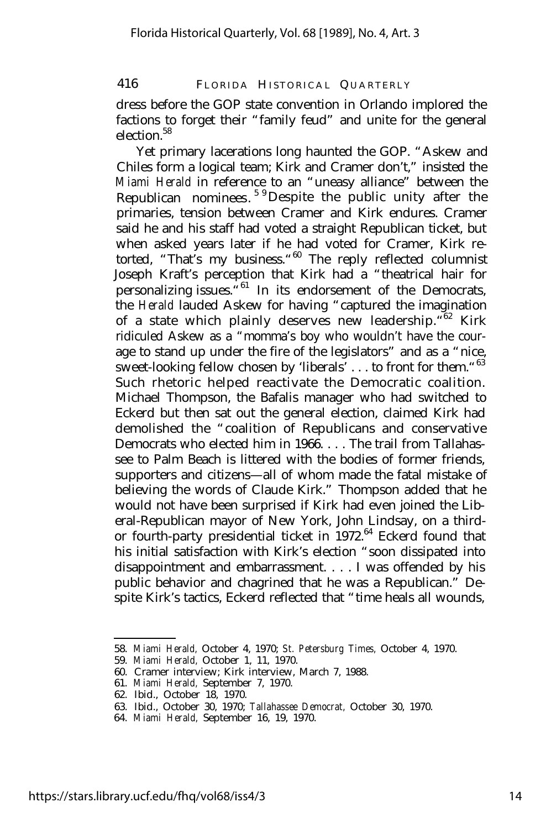dress before the GOP state convention in Orlando implored the factions to forget their "family feud" and unite for the general election $^{58}$ 

Yet primary lacerations long haunted the GOP. "Askew and Chiles form a logical team; Kirk and Cramer don't," insisted the *Miami Herald* in reference to an "uneasy alliance" between the Republican nominees.<sup>59</sup>Despite the public unity after the primaries, tension between Cramer and Kirk endures. Cramer said he and his staff had voted a straight Republican ticket, but when asked years later if he had voted for Cramer, Kirk retorted, "That's my business."<sup>60</sup> The reply reflected columnist Joseph Kraft's perception that Kirk had a "theatrical hair for personalizing issues.<sup>"61</sup> In its endorsement of the Democrats, the *Herald* lauded Askew for having "captured the imagination of a state which plainly deserves new leadership. "<sup>62</sup> Kirk ridiculed Askew as a "momma's boy who wouldn't have the courage to stand up under the fire of the legislators" and as a "nice, sweet-looking fellow chosen by 'liberals' . . . to front for them. "<sup>63</sup> Such rhetoric helped reactivate the Democratic coalition. Michael Thompson, the Bafalis manager who had switched to Eckerd but then sat out the general election, claimed Kirk had demolished the "coalition of Republicans and conservative Democrats who elected him in 1966. . . . The trail from Tallahassee to Palm Beach is littered with the bodies of former friends, supporters and citizens— all of whom made the fatal mistake of believing the words of Claude Kirk." Thompson added that he would not have been surprised if Kirk had even joined the Liberal-Republican mayor of New York, John Lindsay, on a thirdor fourth-party presidential ticket in 1972.<sup>64</sup> Eckerd found that his initial satisfaction with Kirk's election "soon dissipated into disappointment and embarrassment. . . . I was offended by his public behavior and chagrined that he was a Republican." Despite Kirk's tactics, Eckerd reflected that "time heals all wounds,

<sup>58.</sup> *Miami Herald,* October 4, 1970; *St. Petersburg Times,* October 4, 1970.

<sup>59.</sup> *Miami Herald,* October 1, 11, 1970.

<sup>60.</sup> Cramer interview; Kirk interview, March 7, 1988.

<sup>61.</sup> *Miami Herald,* September 7, 1970.

<sup>62.</sup> Ibid., October 18, 1970.

<sup>63.</sup> Ibid., October 30, 1970; *Tallahassee Democrat,* October 30, 1970.

<sup>64.</sup> *Miami Herald,* September 16, 19, 1970.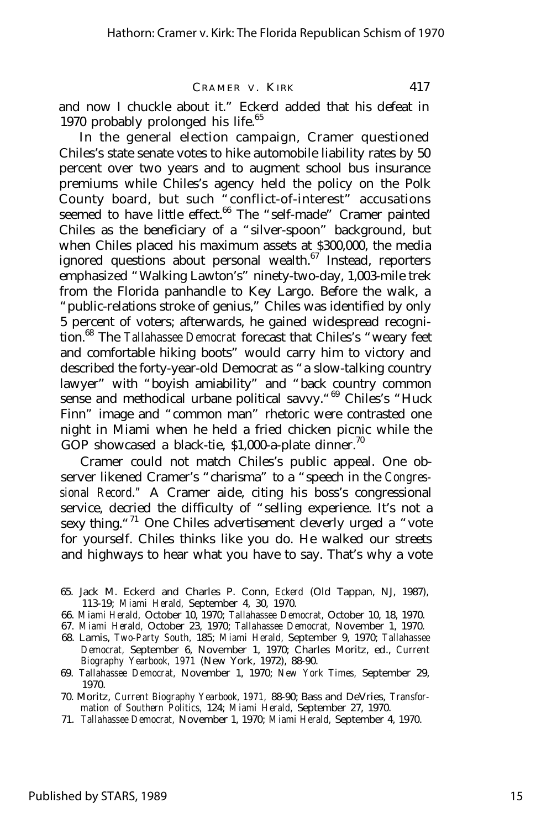and now I chuckle about it." Eckerd added that his defeat in 1970 probably prolonged his life. $65$ 

In the general election campaign, Cramer questioned Chiles's state senate votes to hike automobile liability rates by 50 percent over two years and to augment school bus insurance premiums while Chiles's agency held the policy on the Polk County board, but such "conflict-of-interest" accusations seemed to have little effect.<sup>66</sup> The "self-made" Cramer painted Chiles as the beneficiary of a "silver-spoon" background, but when Chiles placed his maximum assets at \$300,000, the media ignored questions about personal wealth. $67$  Instead, reporters emphasized "Walking Lawton's" ninety-two-day, 1,003-mile trek from the Florida panhandle to Key Largo. Before the walk, a "public-relations stroke of genius," Chiles was identified by only 5 percent of voters; afterwards, he gained widespread recognition.<sup>68</sup> The *Tallahassee Democrat* forecast that Chiles's "weary feet and comfortable hiking boots" would carry him to victory and described the forty-year-old Democrat as "a slow-talking country lawyer" with "boyish amiability" and "back country common sense and methodical urbane political savvy. "<sup>69</sup> Chiles's "Huck Finn" image and "common man" rhetoric were contrasted one night in Miami when he held a fried chicken picnic while the GOP showcased a black-tie,  $$1,000$ -a-plate dinner.<sup>70</sup>

Cramer could not match Chiles's public appeal. One observer likened Cramer's "charisma" to a "speech in the *Congressional Record."* A Cramer aide, citing his boss's congressional service, decried the difficulty of "selling experience. It's not a sexy thing."<sup>71</sup> One Chiles advertisement cleverly urged a "vote for yourself. Chiles thinks like you do. He walked our streets and highways to hear what you have to say. That's why a vote

- 65. Jack M. Eckerd and Charles P. Conn, *Eckerd* (Old Tappan, NJ, 1987), 113-19; *Miami Herald,* September 4, 30, 1970.
- 66. *Miami Herald,* October 10, 1970; *Tallahassee Democrat,* October 10, 18, 1970.
- 67. *Miami Herald,* October 23, 1970; *Tallahassee Democrat,* November 1, 1970.
- 68. Lamis, *Two-Party South,* 185; *Miami Herald,* September 9, 1970; *Tallahassee Democrat,* September 6, November 1, 1970; Charles Moritz, ed., *Current Biography Yearbook, 1971* (New York, 1972), 88-90.
- 69. *Tallahassee Democrat,* November 1, 1970; *New York Times,* September 29, 1970.
- 70. Moritz, *Current Biography Yearbook, 1971,* 88-90; Bass and DeVries, *Transformation of Southern Politics,* 124; *Miami Herald,* September 27, 1970.
- 71. *Tallahassee Democrat,* November 1, 1970; *Miami Herald,* September 4, 1970.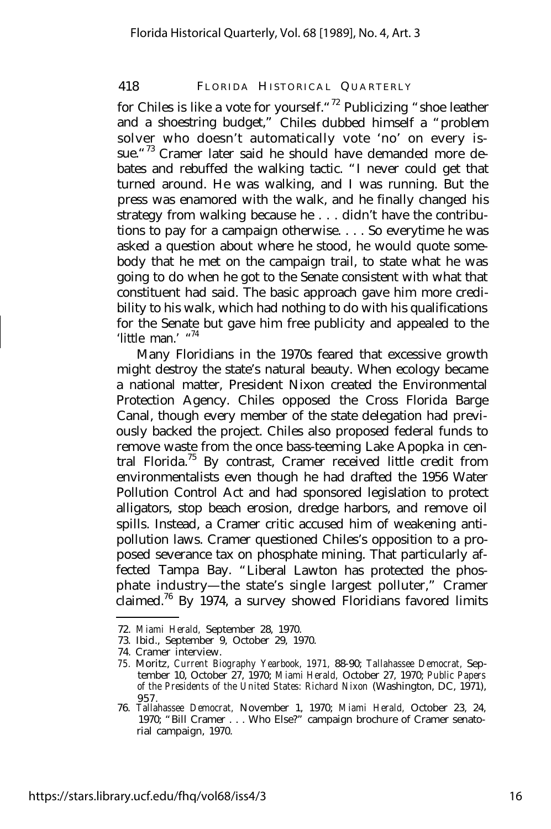for Chiles is like a vote for yourself."<sup>72</sup> Publicizing "shoe leather and a shoestring budget," Chiles dubbed himself a "problem solver who doesn't automatically vote 'no' on every issue."<sup>73</sup> Cramer later said he should have demanded more debates and rebuffed the walking tactic. "I never could get that turned around. He was walking, and I was running. But the press was enamored with the walk, and he finally changed his strategy from walking because he . . . didn't have the contributions to pay for a campaign otherwise. . . . So everytime he was asked a question about where he stood, he would quote somebody that he met on the campaign trail, to state what he was going to do when he got to the Senate consistent with what that constituent had said. The basic approach gave him more credibility to his walk, which had nothing to do with his qualifications for the Senate but gave him free publicity and appealed to the 'little man.' "74

Many Floridians in the 1970s feared that excessive growth might destroy the state's natural beauty. When ecology became a national matter, President Nixon created the Environmental Protection Agency. Chiles opposed the Cross Florida Barge Canal, though every member of the state delegation had previously backed the project. Chiles also proposed federal funds to remove waste from the once bass-teeming Lake Apopka in central Florida.<sup>75</sup> By contrast, Cramer received little credit from environmentalists even though he had drafted the 1956 Water Pollution Control Act and had sponsored legislation to protect alligators, stop beach erosion, dredge harbors, and remove oil spills. Instead, a Cramer critic accused him of weakening antipollution laws. Cramer questioned Chiles's opposition to a proposed severance tax on phosphate mining. That particularly affected Tampa Bay. "Liberal Lawton has protected the phosphate industry— the state's single largest polluter," Cramer claimed.<sup>76</sup> By 1974, a survey showed Floridians favored limits

<sup>72.</sup> *Miami Herald,* September 28, 1970.

<sup>73.</sup> Ibid., September 9, October 29, 1970.

<sup>74.</sup> Cramer interview.

*<sup>75.</sup>* Moritz, *Current Biography Yearbook, 1971,* 88-90; *Tallahassee Democrat,* September 10, October 27, 1970; *Miami Herald,* October 27, 1970; *Public Papers of the Presidents of the United States: Richard Nixon* (Washington, DC, 1971), 957.

<sup>76.</sup> *Tallahassee Democrat,* November 1, 1970; *Miami Herald,* October 23, 24, 1970; "Bill Cramer . . . Who Else?" campaign brochure of Cramer senatorial campaign, 1970.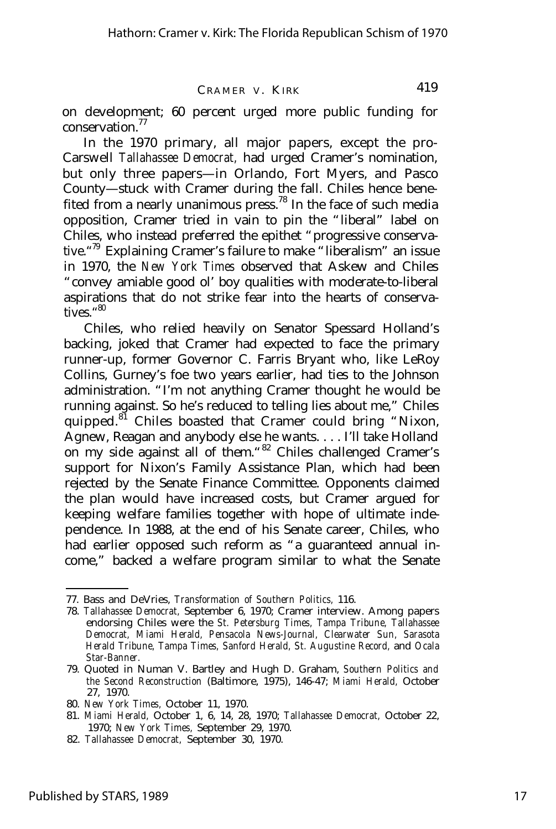on development; 60 percent urged more public funding for conservation.<sup>77</sup>

In the 1970 primary, all major papers, except the pro-Carswell *Tallahassee Democrat,* had urged Cramer's nomination, but only three papers— in Orlando, Fort Myers, and Pasco County— stuck with Cramer during the fall. Chiles hence benefited from a nearly unanimous press.<sup>78</sup> In the face of such media opposition, Cramer tried in vain to pin the "liberal" label on Chiles, who instead preferred the epithet "progressive conservative." <sup>79</sup> Explaining Cramer's failure to make "liberalism" an issue in 1970, the *New York Times* observed that Askew and Chiles "convey amiable good ol' boy qualities with moderate-to-liberal aspirations that do not strike fear into the hearts of conservatives." 80

Chiles, who relied heavily on Senator Spessard Holland's backing, joked that Cramer had expected to face the primary runner-up, former Governor C. Farris Bryant who, like LeRoy Collins, Gurney's foe two years earlier, had ties to the Johnson administration. "I'm not anything Cramer thought he would be running against. So he's reduced to telling lies about me," Chiles quipped.<sup>81</sup> Chiles boasted that Cramer could bring "Nixon, Agnew, Reagan and anybody else he wants. . . . I'll take Holland on my side against all of them."<sup>82</sup> Chiles challenged Cramer's support for Nixon's Family Assistance Plan, which had been rejected by the Senate Finance Committee. Opponents claimed the plan would have increased costs, but Cramer argued for keeping welfare families together with hope of ultimate independence. In 1988, at the end of his Senate career, Chiles, who had earlier opposed such reform as "a guaranteed annual income," backed a welfare program similar to what the Senate

<sup>77.</sup> Bass and DeVries, *Transformation of Southern Politics,* 116.

<sup>78.</sup> *Tallahassee Democrat,* September 6, 1970; Cramer interview. Among papers endorsing Chiles were the *St. Petersburg Times, Tampa Tribune, Tallahassee Democrat, Miami Herald, Pensacola News-Journal, Clearwater Sun, Sarasota Herald Tribune, Tampa Times, Sanford Herald, St. Augustine Record,* and *Ocala Star-Banner.*

<sup>79.</sup> Quoted in Numan V. Bartley and Hugh D. Graham, *Southern Politics and the Second Reconstruction* (Baltimore, 1975), 146-47; *Miami Herald,* October 27, 1970.

<sup>80.</sup> *New York Times,* October 11, 1970.

<sup>81.</sup> *Miami Herald,* October 1, 6, 14, 28, 1970; *Tallahassee Democrat,* October 22, 1970; *New York Times,* September 29, 1970.

<sup>82.</sup> *Tallahassee Democrat,* September 30, 1970.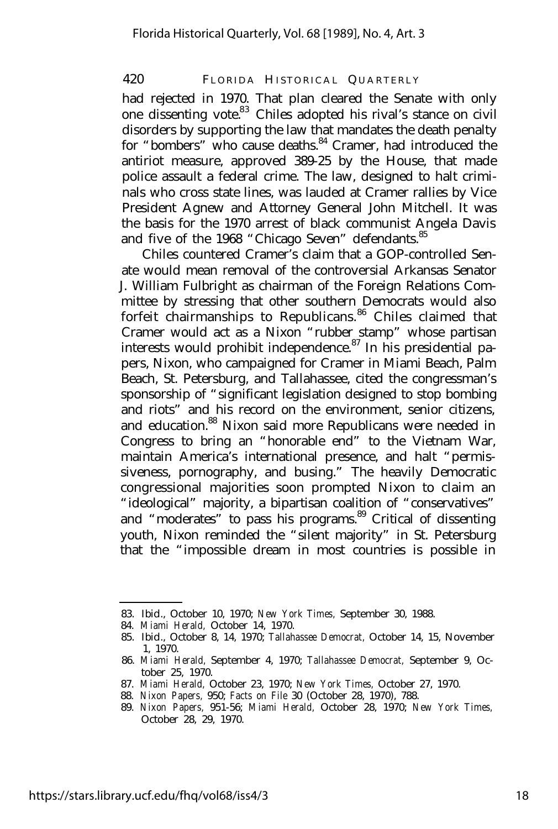had rejected in 1970. That plan cleared the Senate with only one dissenting vote.<sup>83</sup> Chiles adopted his rival's stance on civil disorders by supporting the law that mandates the death penalty for "bombers" who cause deaths.<sup>84</sup> Cramer, had introduced the antiriot measure, approved 389-25 by the House, that made police assault a federal crime. The law, designed to halt criminals who cross state lines, was lauded at Cramer rallies by Vice President Agnew and Attorney General John Mitchell. It was the basis for the 1970 arrest of black communist Angela Davis and five of the 1968 "Chicago Seven" defendants.<sup>85</sup>

Chiles countered Cramer's claim that a GOP-controlled Senate would mean removal of the controversial Arkansas Senator J. William Fulbright as chairman of the Foreign Relations Committee by stressing that other southern Democrats would also forfeit chairmanships to Republicans.<sup>86</sup> Chiles claimed that Cramer would act as a Nixon "rubber stamp" whose partisan interests would prohibit independence.<sup>87</sup> In his presidential papers, Nixon, who campaigned for Cramer in Miami Beach, Palm Beach, St. Petersburg, and Tallahassee, cited the congressman's sponsorship of "significant legislation designed to stop bombing and riots" and his record on the environment, senior citizens, and education.<sup>88</sup> Nixon said more Republicans were needed in Congress to bring an "honorable end" to the Vietnam War, maintain America's international presence, and halt "permissiveness, pornography, and busing." The heavily Democratic congressional majorities soon prompted Nixon to claim an "ideological" majority, a bipartisan coalition of "conservatives" and "moderates" to pass his programs.<sup>89</sup> Critical of dissenting youth, Nixon reminded the "silent majority" in St. Petersburg that the "impossible dream in most countries is possible in

<sup>83.</sup> Ibid., October 10, 1970; *New York Times,* September 30, 1988.

<sup>84.</sup> *Miami Herald,* October 14, 1970.

<sup>85.</sup> Ibid., October 8, 14, 1970; *Tallahassee Democrat,* October 14, 15, November 1, 1970.

<sup>86.</sup> *Miami Herald,* September 4, 1970; *Tallahassee Democrat,* September 9, October 25, 1970.

<sup>87.</sup> *Miami Herald,* October 23, 1970; *New York Times,* October 27, 1970.

<sup>88.</sup> *Nixon Papers,* 950; *Facts on File* 30 (October 28, 1970), 788.

<sup>89.</sup> *Nixon Papers,* 951-56; *Miami Herald,* October 28, 1970; *New York Times,* October 28, 29, 1970.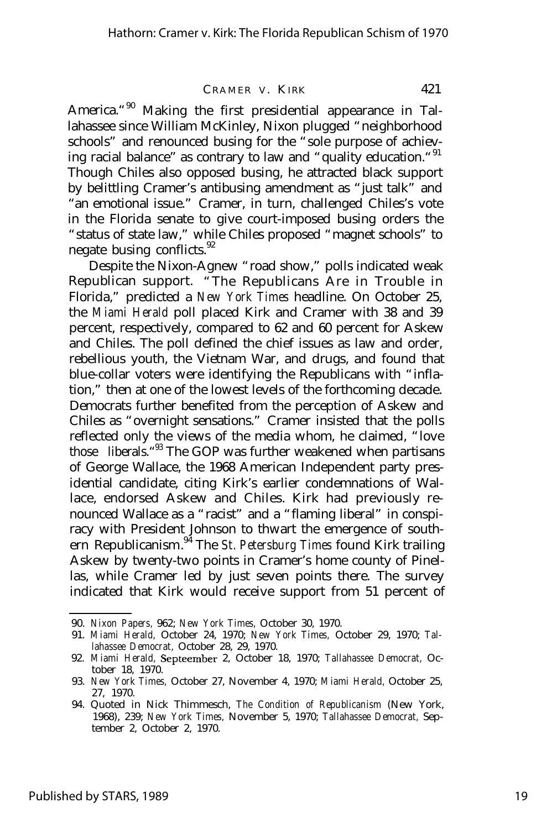America."<sup>90</sup> Making the first presidential appearance in Tallahassee since William McKinley, Nixon plugged "neighborhood schools" and renounced busing for the "sole purpose of achieving racial balance" as contrary to law and "quality education."<sup>91</sup> Though Chiles also opposed busing, he attracted black support by belittling Cramer's antibusing amendment as "just talk" and "an emotional issue." Cramer, in turn, challenged Chiles's vote in the Florida senate to give court-imposed busing orders the "status of state law," while Chiles proposed "magnet schools" to negate busing conflicts.<sup>92</sup>

Despite the Nixon-Agnew "road show," polls indicated weak Republican support. "The Republicans Are in Trouble in Florida," predicted a *New York Times* headline. On October 25, the *Miami Herald* poll placed Kirk and Cramer with 38 and 39 percent, respectively, compared to 62 and 60 percent for Askew and Chiles. The poll defined the chief issues as law and order, rebellious youth, the Vietnam War, and drugs, and found that blue-collar voters were identifying the Republicans with "inflation," then at one of the lowest levels of the forthcoming decade. Democrats further benefited from the perception of Askew and Chiles as "overnight sensations." Cramer insisted that the polls reflected only the views of the media whom, he claimed, "love those liberals.<sup>"33</sup> The GOP was further weakened when partisans of George Wallace, the 1968 American Independent party presidential candidate, citing Kirk's earlier condemnations of Wallace, endorsed Askew and Chiles. Kirk had previously renounced Wallace as a "racist" and a "flaming liberal" in conspiracy with President Johnson to thwart the emergence of southern Republicanism. <sup>94</sup> The *St. Petersburg Times* found Kirk trailing Askew by twenty-two points in Cramer's home county of Pinellas, while Cramer led by just seven points there. The survey indicated that Kirk would receive support from 51 percent of

<sup>90.</sup> *Nixon Papers,* 962; *New York Times,* October 30, 1970.

<sup>91.</sup> *Miami Herald,* October 24, 1970; *New York Times,* October 29, 1970; *Tallahassee Democrat,* October 28, 29, 1970.

<sup>92.</sup> *Miami Herald,* Septeember 2, October 18, 1970; *Tallahassee Democrat,* October 18, 1970.

<sup>93.</sup> *New York Times,* October 27, November 4, 1970; *Miami Herald,* October 25, 27, 1970.

<sup>94.</sup> Quoted in Nick Thimmesch, *The Condition of Republicanism* (New York, 1968), 239; *New York Times,* November 5, 1970; *Tallahassee Democrat,* September 2, October 2, 1970.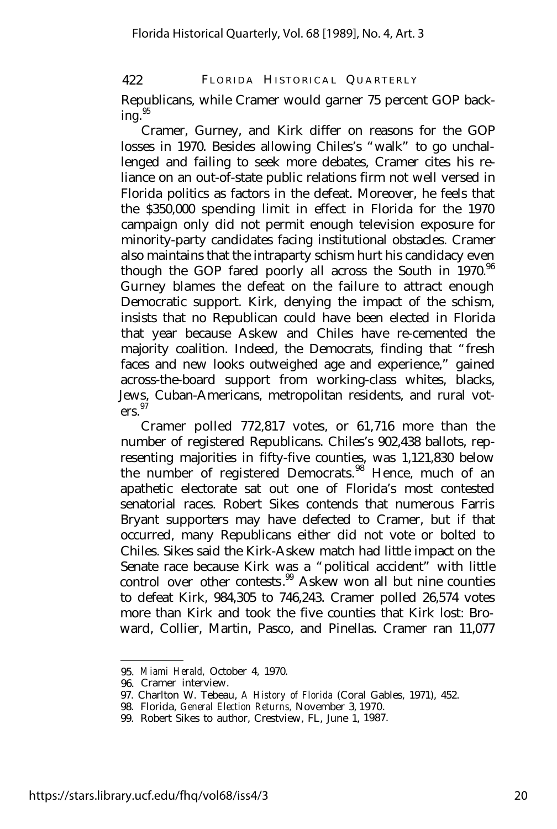Republicans, while Cramer would garner 75 percent GOP back $ing.<sup>95</sup>$ 

Cramer, Gurney, and Kirk differ on reasons for the GOP losses in 1970. Besides allowing Chiles's "walk" to go unchallenged and failing to seek more debates, Cramer cites his reliance on an out-of-state public relations firm not well versed in Florida politics as factors in the defeat. Moreover, he feels that the \$350,000 spending limit in effect in Florida for the 1970 campaign only did not permit enough television exposure for minority-party candidates facing institutional obstacles. Cramer also maintains that the intraparty schism hurt his candidacy even though the GOP fared poorly all across the South in  $1970.^{96}$ Gurney blames the defeat on the failure to attract enough Democratic support. Kirk, denying the impact of the schism, insists that no Republican could have been elected in Florida that year because Askew and Chiles have re-cemented the majority coalition. Indeed, the Democrats, finding that "fresh faces and new looks outweighed age and experience," gained across-the-board support from working-class whites, blacks, Jews, Cuban-Americans, metropolitan residents, and rural voters.<sup>97</sup>

Cramer polled 772,817 votes, or 61,716 more than the number of registered Republicans. Chiles's 902,438 ballots, representing majorities in fifty-five counties, was 1,121,830 below the number of registered Democrats.<sup>98</sup> Hence, much of an apathetic electorate sat out one of Florida's most contested senatorial races. Robert Sikes contends that numerous Farris Bryant supporters may have defected to Cramer, but if that occurred, many Republicans either did not vote or bolted to Chiles. Sikes said the Kirk-Askew match had little impact on the Senate race because Kirk was a "political accident" with little control over other contests.<sup>99</sup> Askew won all but nine counties to defeat Kirk, 984,305 to 746,243. Cramer polled 26,574 votes more than Kirk and took the five counties that Kirk lost: Broward, Collier, Martin, Pasco, and Pinellas. Cramer ran 11,077

<sup>95.</sup> *Miami Herald,* October 4, 1970.

<sup>96.</sup> Cramer interview.

<sup>97.</sup> Charlton W. Tebeau, *A History of Florida* (Coral Gables, 1971), 452.

<sup>98.</sup> Florida, *General Election Returns,* November 3, 1970.

<sup>99.</sup> Robert Sikes to author, Crestview, FL, June 1, 1987.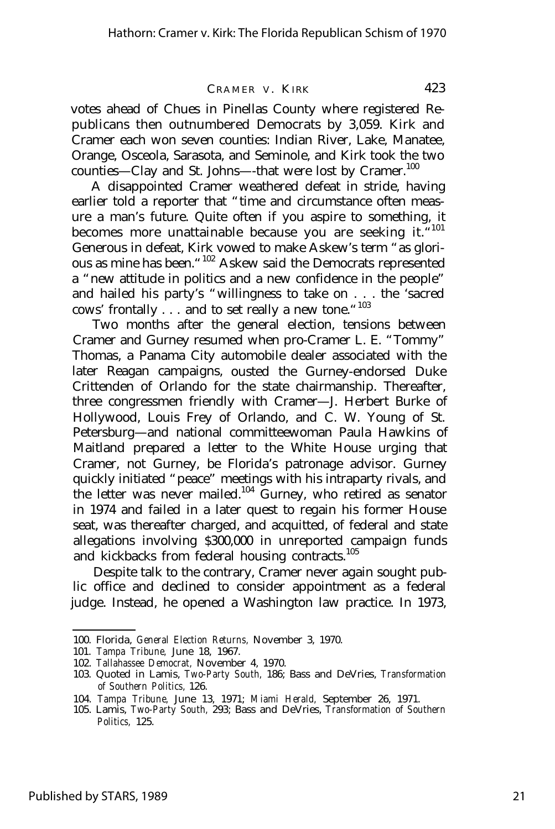votes ahead of Chues in Pinellas County where registered Republicans then outnumbered Democrats by 3,059. Kirk and Cramer each won seven counties: Indian River, Lake, Manatee, Orange, Osceola, Sarasota, and Seminole, and Kirk took the two counties- Clay and St. Johns--that were lost by Cramer.<sup>100</sup>

A disappointed Cramer weathered defeat in stride, having earlier told a reporter that "time and circumstance often measure a man's future. Quite often if you aspire to something, it becomes more unattainable because you are seeking it."<sup>101</sup> Generous in defeat, Kirk vowed to make Askew's term "as glorious as mine has been."<sup>102</sup> Askew said the Democrats represented a "new attitude in politics and a new confidence in the people" and hailed his party's "willingness to take on . . . the 'sacred cows' frontally . . . and to set really a new tone. "103

Two months after the general election, tensions between Cramer and Gurney resumed when pro-Cramer L. E. "Tommy" Thomas, a Panama City automobile dealer associated with the later Reagan campaigns, ousted the Gurney-endorsed Duke Crittenden of Orlando for the state chairmanship. Thereafter, three congressmen friendly with Cramer— J. Herbert Burke of Hollywood, Louis Frey of Orlando, and C. W. Young of St. Petersburg— and national committeewoman Paula Hawkins of Maitland prepared a letter to the White House urging that Cramer, not Gurney, be Florida's patronage advisor. Gurney quickly initiated "peace" meetings with his intraparty rivals, and the letter was never mailed.<sup>104</sup> Gurney, who retired as senator in 1974 and failed in a later quest to regain his former House seat, was thereafter charged, and acquitted, of federal and state allegations involving \$300,000 in unreported campaign funds and kickbacks from federal housing contracts.<sup>105</sup>

Despite talk to the contrary, Cramer never again sought public office and declined to consider appointment as a federal judge. Instead, he opened a Washington law practice. In 1973,

<sup>100.</sup> Florida, *General Election Returns,* November 3, 1970.

<sup>101.</sup> *Tampa Tribune,* June 18, 1967.

<sup>102.</sup> *Tallahassee Democrat,* November 4, 1970.

<sup>103.</sup> Quoted in Lamis, *Two-Party South,* 186; Bass and DeVries, *Transformation of Southern Politics,* 126.

<sup>104.</sup> *Tampa Tribune,* June 13, 1971; *Miami Herald,* September 26, 1971.

<sup>105.</sup> Lamis, *Two-Party South,* 293; Bass and DeVries, *Transformation of Southern Politics,* 125.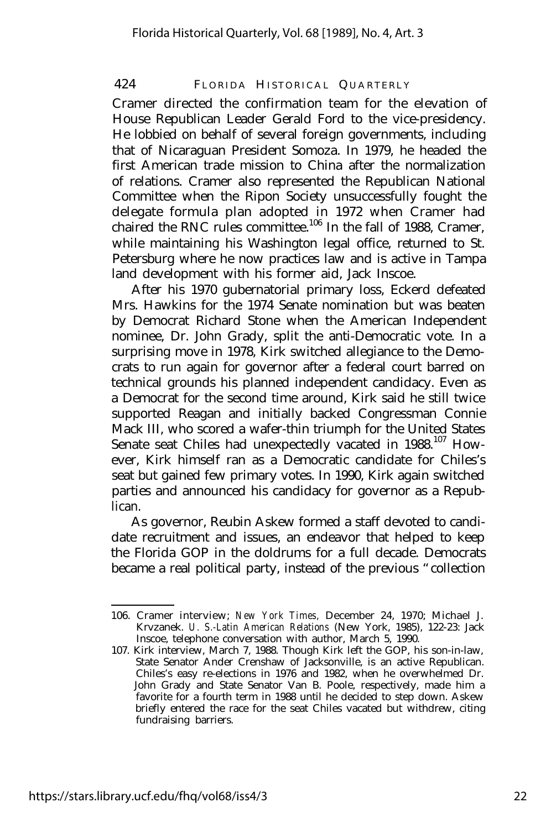Cramer directed the confirmation team for the elevation of House Republican Leader Gerald Ford to the vice-presidency. He lobbied on behalf of several foreign governments, including that of Nicaraguan President Somoza. In 1979, he headed the first American trade mission to China after the normalization of relations. Cramer also represented the Republican National Committee when the Ripon Society unsuccessfully fought the delegate formula plan adopted in 1972 when Cramer had chaired the RNC rules committee.<sup>106</sup> In the fall of 1988, Cramer, while maintaining his Washington legal office, returned to St. Petersburg where he now practices law and is active in Tampa land development with his former aid, Jack Inscoe.

After his 1970 gubernatorial primary loss, Eckerd defeated Mrs. Hawkins for the 1974 Senate nomination but was beaten by Democrat Richard Stone when the American Independent nominee, Dr. John Grady, split the anti-Democratic vote. In a surprising move in 1978, Kirk switched allegiance to the Democrats to run again for governor after a federal court barred on technical grounds his planned independent candidacy. Even as a Democrat for the second time around, Kirk said he still twice supported Reagan and initially backed Congressman Connie Mack III, who scored a wafer-thin triumph for the United States Senate seat Chiles had unexpectedly vacated in 1988.<sup>107</sup> However, Kirk himself ran as a Democratic candidate for Chiles's seat but gained few primary votes. In 1990, Kirk again switched parties and announced his candidacy for governor as a Republican.

As governor, Reubin Askew formed a staff devoted to candidate recruitment and issues, an endeavor that helped to keep the Florida GOP in the doldrums for a full decade. Democrats became a real political party, instead of the previous "collection

<sup>106.</sup> Cramer interview; *New York Times,* December 24, 1970; Michael J. Krvzanek. *U. S.-Latin American Relations* (New York, 1985), 122-23: Jack Inscoe, telephone conversation with author, March 5, 1990.

<sup>107.</sup> Kirk interview, March 7, 1988. Though Kirk left the GOP, his son-in-law, State Senator Ander Crenshaw of Jacksonville, is an active Republican. Chiles's easy re-elections in 1976 and 1982, when he overwhelmed Dr. John Grady and State Senator Van B. Poole, respectively, made him a favorite for a fourth term in 1988 until he decided to step down. Askew briefly entered the race for the seat Chiles vacated but withdrew, citing fundraising barriers.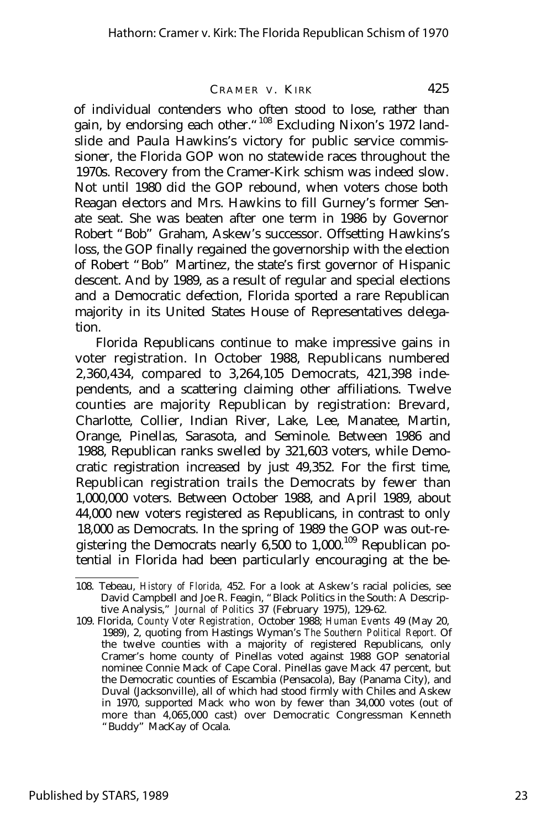of individual contenders who often stood to lose, rather than gain, by endorsing each other."<sup>108</sup> Excluding Nixon's 1972 landslide and Paula Hawkins's victory for public service commissioner, the Florida GOP won no statewide races throughout the 1970s. Recovery from the Cramer-Kirk schism was indeed slow. Not until 1980 did the GOP rebound, when voters chose both Reagan electors and Mrs. Hawkins to fill Gurney's former Senate seat. She was beaten after one term in 1986 by Governor Robert "Bob" Graham, Askew's successor. Offsetting Hawkins's loss, the GOP finally regained the governorship with the election of Robert "Bob" Martinez, the state's first governor of Hispanic descent. And by 1989, as a result of regular and special elections and a Democratic defection, Florida sported a rare Republican majority in its United States House of Representatives delegation.

Florida Republicans continue to make impressive gains in voter registration. In October 1988, Republicans numbered 2,360,434, compared to 3,264,105 Democrats, 421,398 independents, and a scattering claiming other affiliations. Twelve counties are majority Republican by registration: Brevard, Charlotte, Collier, Indian River, Lake, Lee, Manatee, Martin, Orange, Pinellas, Sarasota, and Seminole. Between 1986 and 1988, Republican ranks swelled by 321,603 voters, while Democratic registration increased by just 49,352. For the first time, Republican registration trails the Democrats by fewer than 1,000,000 voters. Between October 1988, and April 1989, about 44,000 new voters registered as Republicans, in contrast to only 18,000 as Democrats. In the spring of 1989 the GOP was out-registering the Democrats nearly  $6,500$  to  $1,000$ .<sup>109</sup> Republican potential in Florida had been particularly encouraging at the be-

<sup>108.</sup> Tebeau, *History of Florida,* 452. For a look at Askew's racial policies, see David Campbell and Joe R. Feagin, "Black Politics in the South: A Descriptive Analysis," *Journal of Politics* 37 (February 1975), 129-62.

<sup>109.</sup> Florida, *County Voter Registration,* October 1988; *Human Events* 49 (May 20, 1989), 2, quoting from Hastings Wyman's *The Southern Political Report.* Of the twelve counties with a majority of registered Republicans, only Cramer's home county of Pinellas voted against 1988 GOP senatorial nominee Connie Mack of Cape Coral. Pinellas gave Mack 47 percent, but the Democratic counties of Escambia (Pensacola), Bay (Panama City), and Duval (Jacksonville), all of which had stood firmly with Chiles and Askew in 1970, supported Mack who won by fewer than 34,000 votes (out of more than 4,065,000 cast) over Democratic Congressman Kenneth "Buddy" MacKay of Ocala.